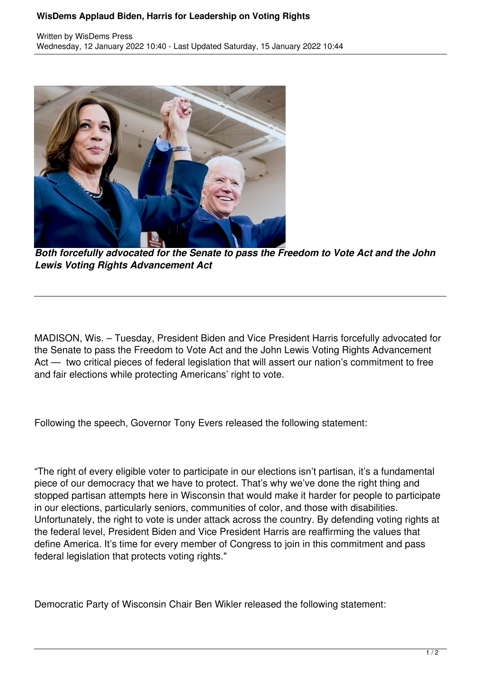## **WisDems Applaud Biden, Harris for Leadership on Voting Rights**



*Both forcefully advocated for the Senate to pass the Freedom to Vote Act and the John Lewis Voting Rights Advancement Act*

MADISON, Wis. – Tuesday, President Biden and Vice President Harris forcefully advocated for the Senate to pass the Freedom to Vote Act and the John Lewis Voting Rights Advancement Act — two critical pieces of federal legislation that will assert our nation's commitment to free and fair elections while protecting Americans' right to vote.

Following the speech, Governor Tony Evers released the following statement:

"The right of every eligible voter to participate in our elections isn't partisan, it's a fundamental piece of our democracy that we have to protect. That's why we've done the right thing and stopped partisan attempts here in Wisconsin that would make it harder for people to participate in our elections, particularly seniors, communities of color, and those with disabilities. Unfortunately, the right to vote is under attack across the country. By defending voting rights at the federal level, President Biden and Vice President Harris are reaffirming the values that define America. It's time for every member of Congress to join in this commitment and pass federal legislation that protects voting rights."

Democratic Party of Wisconsin Chair Ben Wikler released the following statement: